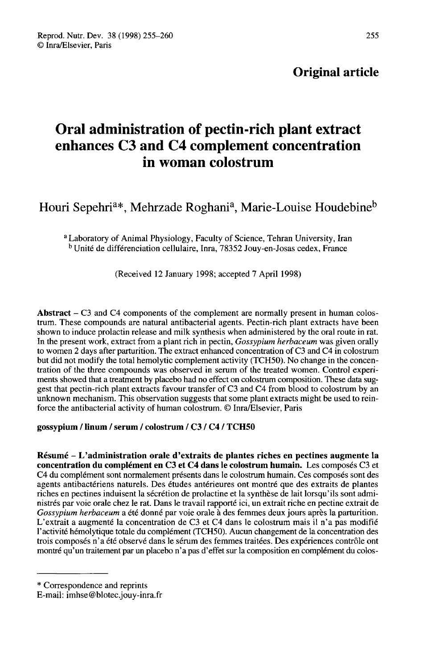# Original article

# Oral administration of pectin-rich plant extract enhances C3 and C4 complement concentration in woman colostrum

Houri Sepehri<sup>a\*</sup>, Mehrzade Roghani<sup>a</sup>, Marie-Louise Houdebine<sup>b</sup>

<sup>a</sup> Laboratory of Animal Physiology, Faculty of Science, Tehran University, Iran <sup>b</sup> Unité de différenciation cellulaire, Inra, 78352 Jouy-en-Josas cedex, France

(Received 12 January 1998; accepted 7 April 1998)

Abstract - C3 and C4 components of the complement are normally present in human colostrum. These compounds are natural antibacterial agents. Pectin-rich plant extracts have been shown to induce prolactin release and milk synthesis when administered by the oral route in rat.<br>In the present work, extract from a plant rich in pectin, *Gossypium herbaceum* was given orally to worker 2 days after parturition. The extract enhanced concentration of C3 and C4 in colostrum but did not modify the total hemolytic complement activity (TCH50). No change in the concentration of the three compounds was observed in serum of the treated women. Control experi ments showed that a treatment by placebo had no effect on colostrum composition. These data suggest that pectin-rich plant extracts favour transfer of C3 and C4 from blood to colostrum by an unknown mechanism. This observation suggests that some plant extracts might be used to reinforce the antibacterial activity of human colostrum. © Inra/Elsevier, Paris

# gossypium / linum / serum / colostrum / C3 / C4 / TCH50

Résumé - L'administration orale d'extraits de plantes riches en pectines augmente la concentration du complément en C3 et C4 dans le colostrum humain. Les composés C3 et C4 du complément sont normalement présents dans le colostrum humain. Ces composés sont des agents antibactériens naturels. Des études antérieures ont montré que des extraits de plantes riches en pectines induisent la sécrétion de prolactine et la synthèse de lait lorsqu'ils sont administrés par voie orale chez le rat. Dans le travail rapporté ici, un extrait riche en pectine extrait de Gossypium herbaceum a été donné par voie orale à des femmes deux jours après la parturition. L'extrait a augmenté la concentration de C3 et C4 dans le colostrum mais il n'a pas modifié l'activité hémolytique totale du complément (TCH50). Aucun changement de la concentration des trois composés n'a été observé dans le sérum des femmes traitées. Des expériences contrôle ont montré qu'un traitement par un placebo n'a pas d'effet sur la composition en complément du colos-

<sup>\*</sup> Correspondence and reprints

E-mail: imhse@blotec.jouy-inra.fr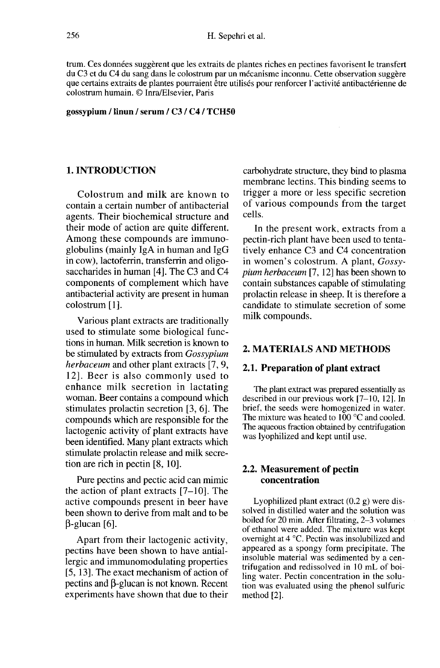trum. Ces données suggèrent que les extraits de plantes riches en pectines favorisent le transfert du C3 et du C4 du sang dans le colostrum par un mécanisme inconnu. Cette observation suggère que certains extraits de plantes pourraient être utilisés pour renforcer l'activité antibactérienne de colostrum humain. @ Inra/Elsevier, Paris

gossypium / linun / serum / C3 / C4 / TCH50

# 1. INTRODUCTION

Colostrum and milk are known to contain a certain number of antibacterial agents. Their biochemical structure and their mode of action are quite different. Among these compounds are immunoglobulins (mainly IgA in human and IgG in cow), lactoferrin, transferrin and oligosaccharides in human [4]. The C3 and C4 components of complement which have antibacterial activity are present in human colostrum [1].

Various plant extracts are traditionally used to stimulate some biological functions in human. Milk secretion is known to be stimulated by extracts from Gossypium herbaceum and other plant extracts [7, 9, 12]. Beer is also commonly used to enhance milk secretion in lactating woman. Beer contains a compound which stimulates prolactin secretion [3, 6]. The compounds which are responsible for the lactogenic activity of plant extracts have been identified. Many plant extracts which stimulate prolactin release and milk secretion are rich in pectin [8, 10].

Pure pectins and pectic acid can mimic the action of plant extracts  $[7-10]$ . The active compounds present in beer have been shown to derive from malt and to be (3-glucan [6].

Apart from their lactogenic activity, pectins have been shown to have antiallergic and immunomodulating properties [5, 13]. The exact mechanism of action of pectins and  $\beta$ -glucan is not known. Recent experiments have shown that due to their carbohydrate structure, they bind to plasma membrane lectins. This binding seems to trigger a more or less specific secretion of various compounds from the target cells.

In the present work, extracts from a pectin-rich plant have been used to tentatively enhance C3 and C4 concentration in women's colostrum. A plant, Gossypium herbaceum [7, 12] has been shown to contain substances capable of stimulating prolactin release in sheep. It is therefore a candidate to stimulate secretion of some milk compounds.

# 2. MATERIALS AND METHODS

#### 2.1. Preparation of plant extract

The plant extract was prepared essentially as described in our previous work [7-10, 12]. In brief, the seeds were homogenized in water. The mixture was heated to 100 °C and cooled. The aqueous fraction obtained by centrifugation was lyophilized and kept until use.

# 2.2. Measurement of pectin concentration

Lyophilized plant extract  $(0.2 \text{ g})$  were dissolved in distilled water and the solution was boiled for 20 min. After filtrating, 2-3 volumes of ethanol were added. The mixture was kept overnight at 4 °C. Pectin was insolubilized and appeared as a spongy form precipitate. The insoluble material was sedimented by a centrifugation and redissolved in 10 mL of boiling water. Pectin concentration in the solution was evaluated using the phenol sulfuric method [2].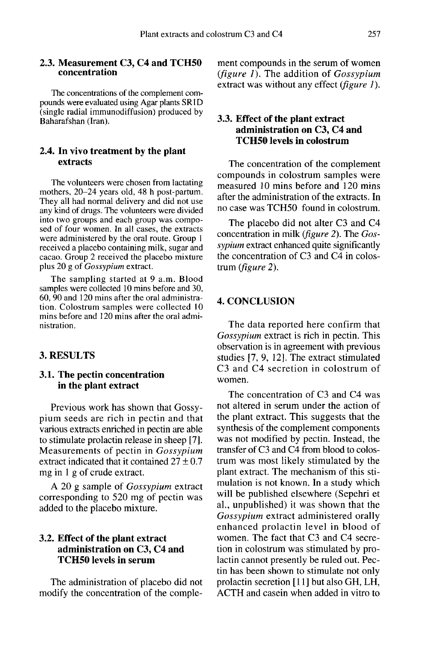#### 2.3. Measurement C3, C4 and TCH50 concentration

The concentrations of the complement compounds were evaluated using Agar plants SR1D (single radial immunodiffusion) produced by Baharafshan (Iran).

#### 2.4. In vivo treatment by the plant extracts

The volunteers were chosen from lactating mothers, 20-24 years old, 48 h post-partum. They all had normal delivery and did not use any kind of drugs. The volunteers were divided into two groups and each group was composed of four women. In all cases, the extracts were administered by the oral route. Group I received a placebo containing milk, sugar and cacao. Group 2 received the placebo mixture plus 20 g of Gossypium extract.

The sampling started at 9 a.m. Blood samples were collected 10 mins before and 30, 60, 90 and 120 mins after the oral administration. Colostrum samples were collected 10 mins before and 120 mins after the oral administration.

# 3. RESULTS

# 3.1. The pectin concentration in the plant extract

Previous work has shown that Gossypium seeds are rich in pectin and that various extracts enriched in pectin are able to stimulate prolactin release in sheep [7]. Measurements of pectin in Gossypium extract indicated that it contained  $27 \pm 0.7$ mg in 1 g of crude extract.

A 20 g sample of Gossypium extract corresponding to 520 mg of pectin was added to the placebo mixture.

# 3.2. Effect of the plant extract administration on C3, C4 and TCH50 levels in serum

The administration of placebo did not modify the concentration of the complement compounds in the serum of women (figure  $1$ ). The addition of Gossypium extract was without any effect (*figure 1*).

# 3.3. Effect of the plant extract administration on C3, C4 and TCH50 levels in colostrum

The concentration of the complement compounds in colostrum samples were measured 10 mins before and 120 mins after the administration of the extracts. In no case was TCH50 found in colostrum.

The placebo did not alter C3 and C4 concentration in milk (figure 2). The Gossypium extract enhanced quite significantly the concentration of C3 and C4 in colostrum (figure 2).

#### 4. CONCLUSION

The data reported here confirm that Gossypium extract is rich in pectin. This observation is in agreement with previous studies [7, 9, 12]. The extract stimulated C3 and C4 secretion in colostrum of women.

The concentration of C3 and C4 was not altered in serum under the action of the plant extract. This suggests that the synthesis of the complement components was not modified by pectin. Instead, the transfer of C3 and C4 from blood to colostrum was most likely stimulated by the plant extract. The mechanism of this stimulation is not known. In a study which will be published elsewhere (Sepehri et al., unpublished) it was shown that the Gossypium extract administered orally enhanced prolactin level in blood of women. The fact that C3 and C4 secretion in colostrum was stimulated by prolactin cannot presently be ruled out. Pectin has been shown to stimulate not only prolactin secretion [11] but also GH, LH, ACTH and casein when added in vitro to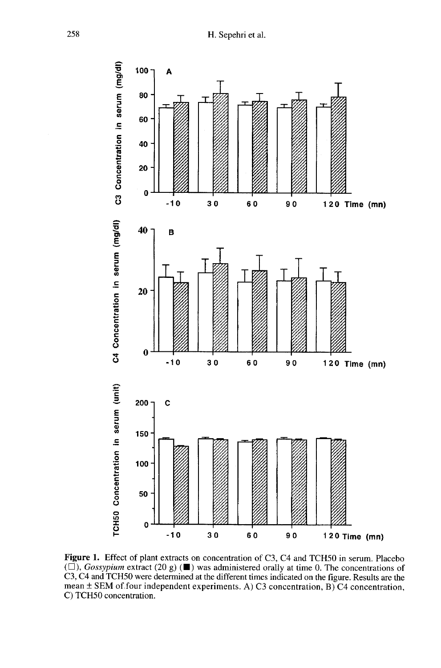

Figure 1. Effect of plant extracts on concentration of C3, C4 and TCH50 in serum. Placebo  $(\square)$ , Gossypium extract (20 g) ( $\square$ ) was administered orally at time 0. The concentrations of C3, C4 and TCH50 were determined at the different times indicated on the figure. Results are the mean  $\pm$  SEM of four independent experiments. A) C3 concentration, B) C4 concentration, C) TCH50 concentration.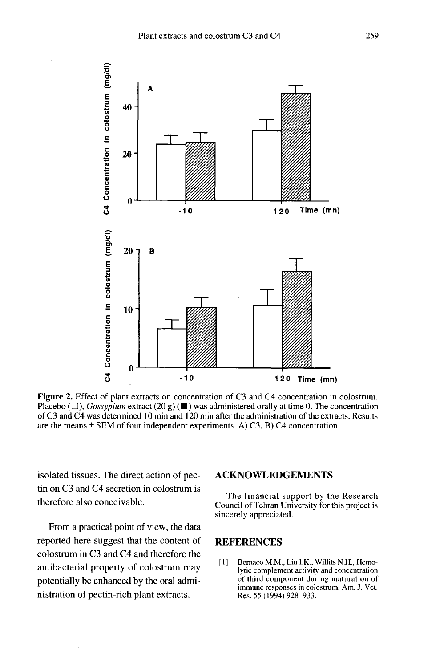

Figure 2. Effect of plant extracts on concentration of C3 and C4 concentration in colostrum. Placebo ( $\square$ ), *Gossypium* extract (20 g) ( $\square$ ) was administered orally at time 0. The concentration of C3 and C4 was determined 10 min and 120 min after the administration of the extracts. Results are the means  $\pm$  SEM of four independent experiments. A) C3, B) C4 concentration.

isolated tissues. The direct action of pectin on C3 and C4 secretion in colostrum is therefore also conceivable.

From a practical point of view, the data reported here suggest that the content of colostrum in C3 and C4 and therefore the antibacterial property of colostrum may potentially be enhanced by the oral administration of pectin-rich plant extracts.

#### ACKNOWLEDGEMENTS

The financial support by the Research Council of Tehran University for this project is sincerely appreciated.

## **REFERENCES**

[1] Bernaco M.M., Liu I.K., Willits N.H., Hemolytic complement activity and concentration of third component during maturation of immune responses in colostrum, Am. J. Vet. Res. 55 (1994) 928-933.